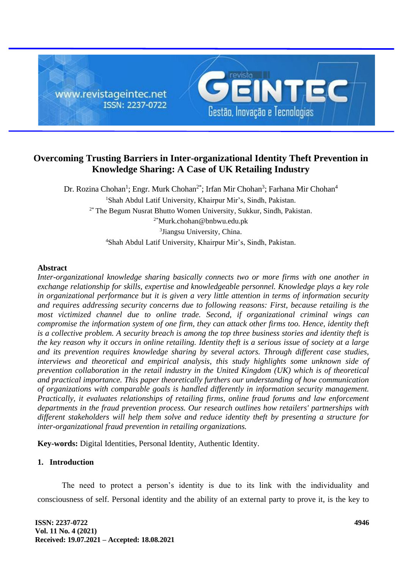

# **Overcoming Trusting Barriers in Inter-organizational Identity Theft Prevention in Knowledge Sharing: A Case of UK Retailing Industry**

Dr. Rozina Chohan<sup>1</sup>; Engr. Murk Chohan<sup>2\*</sup>; Irfan Mir Chohan<sup>3</sup>; Farhana Mir Chohan<sup>4</sup> <sup>1</sup>Shah Abdul Latif University, Khairpur Mir's, Sindh, Pakistan. 2\* The Begum Nusrat Bhutto Women University, Sukkur, Sindh, Pakistan. 2\*[Murk.chohan@bnbwu.edu.pk](mailto:Murk.chohan@bnbwu.edu.pk) 3 Jiangsu University, China. <sup>4</sup>Shah Abdul Latif University, Khairpur Mir's, Sindh, Pakistan.

# **Abstract**

*Inter-organizational knowledge sharing basically connects two or more firms with one another in exchange relationship for skills, expertise and knowledgeable personnel. Knowledge plays a key role in organizational performance but it is given a very little attention in terms of information security and requires addressing security concerns due to following reasons: First, because retailing is the most victimized channel due to online trade. Second, if organizational criminal wings can compromise the information system of one firm, they can attack other firms too. Hence, identity theft is a collective problem. A security breach is among the top three business stories and identity theft is the key reason why it occurs in online retailing. Identity theft is a serious issue of society at a large and its prevention requires knowledge sharing by several actors. Through different case studies, interviews and theoretical and empirical analysis, this study highlights some unknown side of prevention collaboration in the retail industry in the United Kingdom (UK) which is of theoretical and practical importance. This paper theoretically furthers our understanding of how communication of organizations with comparable goals is handled differently in information security management. Practically, it evaluates relationships of retailing firms, online fraud forums and law enforcement departments in the fraud prevention process. Our research outlines how retailers' partnerships with different stakeholders will help them solve and reduce identity theft by presenting a structure for inter-organizational fraud prevention in retailing organizations.* 

**Key-words:** Digital Identities, Personal Identity, Authentic Identity.

# **1. Introduction**

The need to protect a person's identity is due to its link with the individuality and consciousness of self. Personal identity and the ability of an external party to prove it, is the key to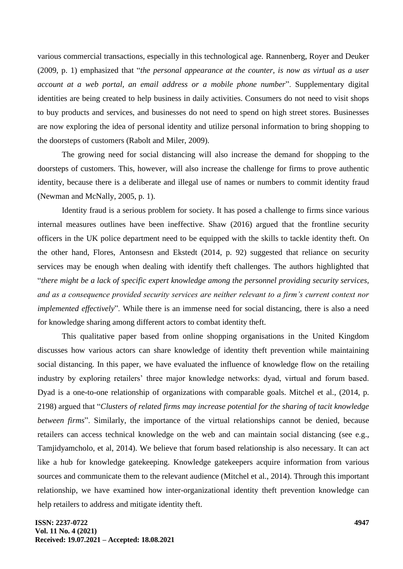various commercial transactions, especially in this technological age. Rannenberg, Royer and Deuker (2009, p. 1) emphasized that "*the personal appearance at the counter, is now as virtual as a user account at a web portal, an email address or a mobile phone number*". Supplementary digital identities are being created to help business in daily activities. Consumers do not need to visit shops to buy products and services, and businesses do not need to spend on high street stores. Businesses are now exploring the idea of personal identity and utilize personal information to bring shopping to the doorsteps of customers (Rabolt and Miler, 2009).

The growing need for social distancing will also increase the demand for shopping to the doorsteps of customers. This, however, will also increase the challenge for firms to prove authentic identity, because there is a deliberate and illegal use of names or numbers to commit identity fraud (Newman and McNally, 2005, p. 1).

Identity fraud is a serious problem for society. It has posed a challenge to firms since various internal measures outlines have been ineffective. Shaw (2016) argued that the frontline security officers in the UK police department need to be equipped with the skills to tackle identity theft. On the other hand, Flores, Antonsesn and Ekstedt (2014, p. 92) suggested that reliance on security services may be enough when dealing with identify theft challenges. The authors highlighted that "*there might be a lack of specific expert knowledge among the personnel providing security services, and as a consequence provided security services are neither relevant to a firm's current context nor implemented effectively*". While there is an immense need for social distancing, there is also a need for knowledge sharing among different actors to combat identity theft.

This qualitative paper based from online shopping organisations in the United Kingdom discusses how various actors can share knowledge of identity theft prevention while maintaining social distancing. In this paper, we have evaluated the influence of knowledge flow on the retailing industry by exploring retailers' three major knowledge networks: dyad, virtual and forum based. Dyad is a one-to-one relationship of organizations with comparable goals. Mitchel et al., (2014, p. 2198) argued that "*Clusters of related firms may increase potential for the sharing of tacit knowledge between firms*". Similarly, the importance of the virtual relationships cannot be denied, because retailers can access technical knowledge on the web and can maintain social distancing (see e.g., Tamjidyamcholo, et al, 2014). We believe that forum based relationship is also necessary. It can act like a hub for knowledge gatekeeping. Knowledge gatekeepers acquire information from various sources and communicate them to the relevant audience (Mitchel et al., 2014). Through this important relationship, we have examined how inter-organizational identity theft prevention knowledge can help retailers to address and mitigate identity theft.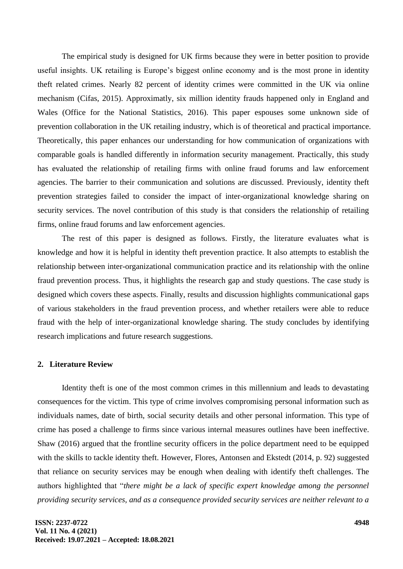The empirical study is designed for UK firms because they were in better position to provide useful insights. UK retailing is Europe's biggest online economy and is the most prone in identity theft related crimes. Nearly 82 percent of identity crimes were committed in the UK via online mechanism (Cifas, 2015). Approximatly, six million identity frauds happened only in England and Wales (Office for the National Statistics, 2016). This paper espouses some unknown side of prevention collaboration in the UK retailing industry, which is of theoretical and practical importance. Theoretically, this paper enhances our understanding for how communication of organizations with comparable goals is handled differently in information security management. Practically, this study has evaluated the relationship of retailing firms with online fraud forums and law enforcement agencies. The barrier to their communication and solutions are discussed. Previously, identity theft prevention strategies failed to consider the impact of inter-organizational knowledge sharing on security services. The novel contribution of this study is that considers the relationship of retailing firms, online fraud forums and law enforcement agencies.

The rest of this paper is designed as follows. Firstly, the literature evaluates what is knowledge and how it is helpful in identity theft prevention practice. It also attempts to establish the relationship between inter-organizational communication practice and its relationship with the online fraud prevention process. Thus, it highlights the research gap and study questions. The case study is designed which covers these aspects. Finally, results and discussion highlights communicational gaps of various stakeholders in the fraud prevention process, and whether retailers were able to reduce fraud with the help of inter-organizational knowledge sharing. The study concludes by identifying research implications and future research suggestions.

### **2. Literature Review**

Identity theft is one of the most common crimes in this millennium and leads to devastating consequences for the victim. This type of crime involves compromising personal information such as individuals names, date of birth, social security details and other personal information. This type of crime has posed a challenge to firms since various internal measures outlines have been ineffective. Shaw (2016) argued that the frontline security officers in the police department need to be equipped with the skills to tackle identity theft. However, Flores, Antonsen and Ekstedt (2014, p. 92) suggested that reliance on security services may be enough when dealing with identify theft challenges. The authors highlighted that "*there might be a lack of specific expert knowledge among the personnel providing security services, and as a consequence provided security services are neither relevant to a*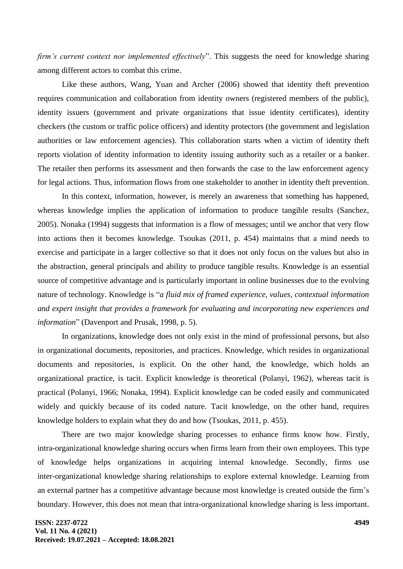*firm's current context nor implemented effectively*". This suggests the need for knowledge sharing among different actors to combat this crime.

Like these authors, Wang, Yuan and Archer (2006) showed that identity theft prevention requires communication and collaboration from identity owners (registered members of the public), identity issuers (government and private organizations that issue identity certificates), identity checkers (the custom or traffic police officers) and identity protectors (the government and legislation authorities or law enforcement agencies). This collaboration starts when a victim of identity theft reports violation of identity information to identity issuing authority such as a retailer or a banker. The retailer then performs its assessment and then forwards the case to the law enforcement agency for legal actions. Thus, information flows from one stakeholder to another in identity theft prevention.

In this context, information, however, is merely an awareness that something has happened, whereas knowledge implies the application of information to produce tangible results (Sanchez, 2005). Nonaka (1994) suggests that information is a flow of messages; until we anchor that very flow into actions then it becomes knowledge. Tsoukas (2011, p. 454) maintains that a mind needs to exercise and participate in a larger collective so that it does not only focus on the values but also in the abstraction, general principals and ability to produce tangible results. Knowledge is an essential source of competitive advantage and is particularly important in online businesses due to the evolving nature of technology. Knowledge is "*a fluid mix of framed experience, values, contextual information and expert insight that provides a framework for evaluating and incorporating new experiences and information*" (Davenport and Prusak, 1998, p. 5).

In organizations, knowledge does not only exist in the mind of professional persons, but also in organizational documents, repositories, and practices. Knowledge, which resides in organizational documents and repositories, is explicit. On the other hand, the knowledge, which holds an organizational practice, is tacit. Explicit knowledge is theoretical (Polanyi, 1962), whereas tacit is practical (Polanyi, 1966; Nonaka, 1994). Explicit knowledge can be coded easily and communicated widely and quickly because of its coded nature. Tacit knowledge, on the other hand, requires knowledge holders to explain what they do and how (Tsoukas, 2011, p. 455).

There are two major knowledge sharing processes to enhance firms know how. Firstly, intra-organizational knowledge sharing occurs when firms learn from their own employees. This type of knowledge helps organizations in acquiring internal knowledge. Secondly, firms use inter-organizational knowledge sharing relationships to explore external knowledge. Learning from an external partner has a competitive advantage because most knowledge is created outside the firm's boundary. However, this does not mean that intra-organizational knowledge sharing is less important.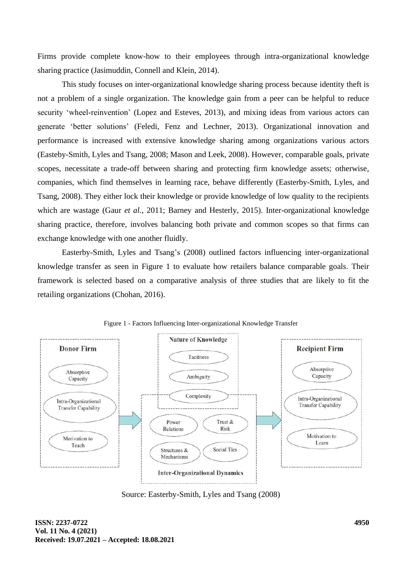Firms provide complete know-how to their employees through intra-organizational knowledge sharing practice (Jasimuddin, Connell and Klein, 2014).

This study focuses on inter-organizational knowledge sharing process because identity theft is not a problem of a single organization. The knowledge gain from a peer can be helpful to reduce security 'wheel-reinvention' (Lopez and Esteves, 2013), and mixing ideas from various actors can generate 'better solutions' (Feledi, Fenz and Lechner, 2013). Organizational innovation and performance is increased with extensive knowledge sharing among organizations various actors (Easteby-Smith, Lyles and Tsang, 2008; Mason and Leek, 2008). However, comparable goals, private scopes, necessitate a trade-off between sharing and protecting firm knowledge assets; otherwise, companies, which find themselves in learning race, behave differently (Easterby-Smith, Lyles, and Tsang, 2008). They either lock their knowledge or provide knowledge of low quality to the recipients which are wastage (Gaur *et al.*, 2011; Barney and Hesterly, 2015). Inter-organizational knowledge sharing practice, therefore, involves balancing both private and common scopes so that firms can exchange knowledge with one another fluidly.

Easterby-Smith, Lyles and Tsang's (2008) outlined factors influencing inter-organizational knowledge transfer as seen in Figure 1 to evaluate how retailers balance comparable goals. Their framework is selected based on a comparative analysis of three studies that are likely to fit the retailing organizations (Chohan, 2016).



Figure 1 - Factors Influencing Inter-organizational Knowledge Transfer

Source: Easterby-Smith, Lyles and Tsang (2008)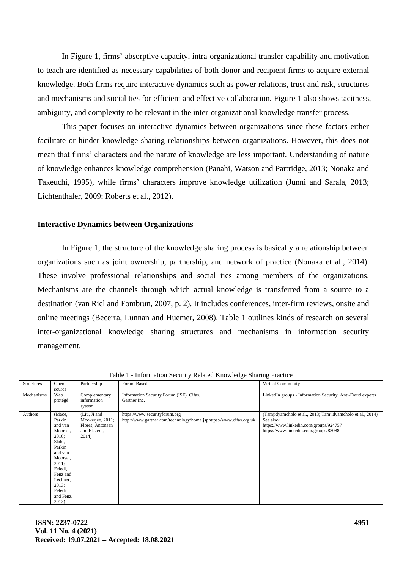In Figure 1, firms' absorptive capacity, intra-organizational transfer capability and motivation to teach are identified as necessary capabilities of both donor and recipient firms to acquire external knowledge. Both firms require interactive dynamics such as power relations, trust and risk, structures and mechanisms and social ties for efficient and effective collaboration. Figure 1 also shows tacitness, ambiguity, and complexity to be relevant in the inter-organizational knowledge transfer process.

This paper focuses on interactive dynamics between organizations since these factors either facilitate or hinder knowledge sharing relationships between organizations. However, this does not mean that firms' characters and the nature of knowledge are less important. Understanding of nature of knowledge enhances knowledge comprehension (Panahi, Watson and Partridge, 2013; Nonaka and Takeuchi, 1995), while firms' characters improve knowledge utilization (Junni and Sarala, 2013; Lichtenthaler, 2009; Roberts et al., 2012).

### **Interactive Dynamics between Organizations**

In Figure 1, the structure of the knowledge sharing process is basically a relationship between organizations such as joint ownership, partnership, and network of practice (Nonaka et al., 2014). These involve professional relationships and social ties among members of the organizations. Mechanisms are the channels through which actual knowledge is transferred from a source to a destination (van Riel and Fombrun, 2007, p. 2). It includes conferences, inter-firm reviews, onsite and online meetings (Becerra, Lunnan and Huemer, 2008). Table 1 outlines kinds of research on several inter-organizational knowledge sharing structures and mechanisms in information security management.

| <b>Structures</b> | Open<br>source                                                                                                                                                                         | Partnership                                                                   | Forum Based                                                                                         | Virtual Community                                                                                                                                          |
|-------------------|----------------------------------------------------------------------------------------------------------------------------------------------------------------------------------------|-------------------------------------------------------------------------------|-----------------------------------------------------------------------------------------------------|------------------------------------------------------------------------------------------------------------------------------------------------------------|
| Mechanisms        | Web<br>protégé                                                                                                                                                                         | Complementary<br>information<br>system                                        | Information Security Forum (ISF), Cifas,<br>Gartner Inc.                                            | LinkedIn groups - Information Security, Anti-Fraud experts                                                                                                 |
| Authors           | (Mace,<br>Parkin<br>and van<br>Moorsel,<br>$2010$ ;<br>Stahl,<br>Parkin<br>and van<br>Moorsel,<br>$2011$ ;<br>Feledi,<br>Fenz and<br>Lechner,<br>2013:<br>Feledi<br>and Fenz,<br>2012) | (Liu, Ji and<br>Mookerjee, 2011;<br>Flores, Antonsen<br>and Ekstedt,<br>2014) | https://www.securityforum.org<br>http://www.gartner.com/technology/home.jsphttps://www.cifas.org.uk | (Tamjidyamcholo et al., 2013; Tamjidyamcholo et al., 2014)<br>See also:<br>https://www.linkedin.com/groups/924757<br>https://www.linkedin.com/groups/83088 |

Table 1 - Information Security Related Knowledge Sharing Practice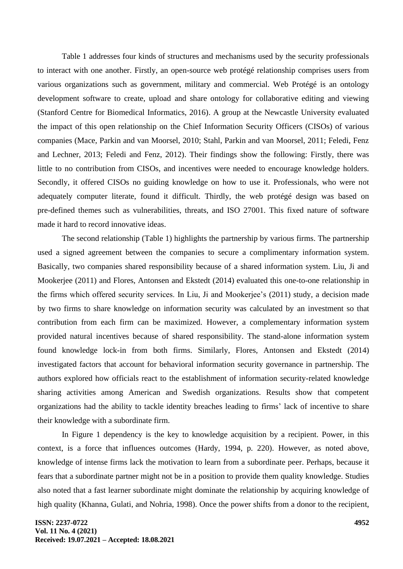Table 1 addresses four kinds of structures and mechanisms used by the security professionals to interact with one another. Firstly, an open-source web protégé relationship comprises users from various organizations such as government, military and commercial. Web Protégé is an ontology development software to create, upload and share ontology for collaborative editing and viewing (Stanford Centre for Biomedical Informatics, 2016). A group at the Newcastle University evaluated the impact of this open relationship on the Chief Information Security Officers (CISOs) of various companies (Mace, Parkin and van Moorsel, 2010; Stahl, Parkin and van Moorsel, 2011; Feledi, Fenz and Lechner, 2013; Feledi and Fenz, 2012). Their findings show the following: Firstly, there was little to no contribution from CISOs, and incentives were needed to encourage knowledge holders. Secondly, it offered CISOs no guiding knowledge on how to use it. Professionals, who were not adequately computer literate, found it difficult. Thirdly, the web protégé design was based on pre-defined themes such as vulnerabilities, threats, and ISO 27001. This fixed nature of software made it hard to record innovative ideas.

The second relationship (Table 1) highlights the partnership by various firms. The partnership used a signed agreement between the companies to secure a complimentary information system. Basically, two companies shared responsibility because of a shared information system. Liu, Ji and Mookerjee (2011) and Flores, Antonsen and Ekstedt (2014) evaluated this one-to-one relationship in the firms which offered security services. In Liu, Ji and Mookerjee's (2011) study, a decision made by two firms to share knowledge on information security was calculated by an investment so that contribution from each firm can be maximized. However, a complementary information system provided natural incentives because of shared responsibility. The stand-alone information system found knowledge lock-in from both firms. Similarly, Flores, Antonsen and Ekstedt (2014) investigated factors that account for behavioral information security governance in partnership. The authors explored how officials react to the establishment of information security-related knowledge sharing activities among American and Swedish organizations. Results show that competent organizations had the ability to tackle identity breaches leading to firms' lack of incentive to share their knowledge with a subordinate firm.

In Figure 1 dependency is the key to knowledge acquisition by a recipient. Power, in this context, is a force that influences outcomes (Hardy, 1994, p. 220). However, as noted above, knowledge of intense firms lack the motivation to learn from a subordinate peer. Perhaps, because it fears that a subordinate partner might not be in a position to provide them quality knowledge. Studies also noted that a fast learner subordinate might dominate the relationship by acquiring knowledge of high quality (Khanna, Gulati, and Nohria, 1998). Once the power shifts from a donor to the recipient,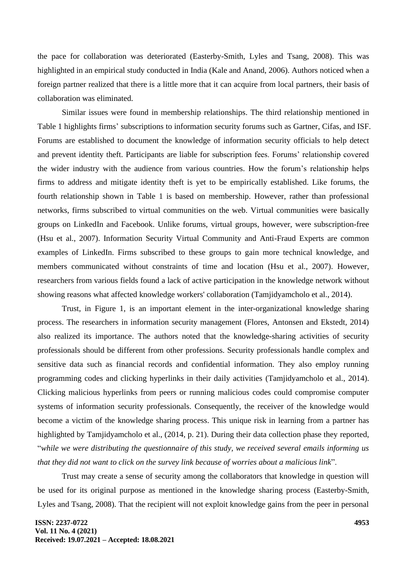the pace for collaboration was deteriorated (Easterby-Smith, Lyles and Tsang, 2008). This was highlighted in an empirical study conducted in India (Kale and Anand, 2006). Authors noticed when a foreign partner realized that there is a little more that it can acquire from local partners, their basis of collaboration was eliminated.

Similar issues were found in membership relationships. The third relationship mentioned in Table 1 highlights firms' subscriptions to information security forums such as Gartner, Cifas, and ISF. Forums are established to document the knowledge of information security officials to help detect and prevent identity theft. Participants are liable for subscription fees. Forums' relationship covered the wider industry with the audience from various countries. How the forum's relationship helps firms to address and mitigate identity theft is yet to be empirically established. Like forums, the fourth relationship shown in Table 1 is based on membership. However, rather than professional networks, firms subscribed to virtual communities on the web. Virtual communities were basically groups on LinkedIn and Facebook. Unlike forums, virtual groups, however, were subscription-free (Hsu et al., 2007). Information Security Virtual Community and Anti-Fraud Experts are common examples of LinkedIn. Firms subscribed to these groups to gain more technical knowledge, and members communicated without constraints of time and location (Hsu et al., 2007). However, researchers from various fields found a lack of active participation in the knowledge network without showing reasons what affected knowledge workers' collaboration (Tamjidyamcholo et al., 2014).

Trust, in Figure 1, is an important element in the inter-organizational knowledge sharing process. The researchers in information security management (Flores, Antonsen and Ekstedt, 2014) also realized its importance. The authors noted that the knowledge-sharing activities of security professionals should be different from other professions. Security professionals handle complex and sensitive data such as financial records and confidential information. They also employ running programming codes and clicking hyperlinks in their daily activities (Tamjidyamcholo et al., 2014). Clicking malicious hyperlinks from peers or running malicious codes could compromise computer systems of information security professionals. Consequently, the receiver of the knowledge would become a victim of the knowledge sharing process. This unique risk in learning from a partner has highlighted by Tamjidyamcholo et al., (2014, p. 21). During their data collection phase they reported, "*while we were distributing the questionnaire of this study, we received several emails informing us that they did not want to click on the survey link because of worries about a malicious link*".

Trust may create a sense of security among the collaborators that knowledge in question will be used for its original purpose as mentioned in the knowledge sharing process (Easterby-Smith, Lyles and Tsang, 2008). That the recipient will not exploit knowledge gains from the peer in personal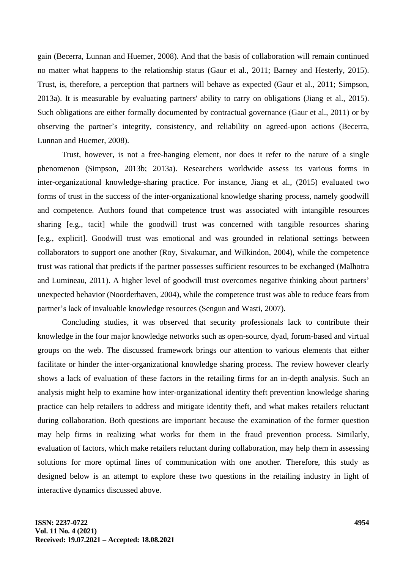gain (Becerra, Lunnan and Huemer, 2008). And that the basis of collaboration will remain continued no matter what happens to the relationship status (Gaur et al., 2011; Barney and Hesterly, 2015). Trust, is, therefore, a perception that partners will behave as expected (Gaur et al., 2011; Simpson, 2013a). It is measurable by evaluating partners' ability to carry on obligations (Jiang et al., 2015). Such obligations are either formally documented by contractual governance (Gaur et al., 2011) or by observing the partner's integrity, consistency, and reliability on agreed-upon actions (Becerra, Lunnan and Huemer, 2008).

Trust, however, is not a free-hanging element, nor does it refer to the nature of a single phenomenon (Simpson, 2013b; 2013a). Researchers worldwide assess its various forms in inter-organizational knowledge-sharing practice. For instance, Jiang et al., (2015) evaluated two forms of trust in the success of the inter-organizational knowledge sharing process, namely goodwill and competence. Authors found that competence trust was associated with intangible resources sharing [e.g., tacit] while the goodwill trust was concerned with tangible resources sharing [e.g., explicit]. Goodwill trust was emotional and was grounded in relational settings between collaborators to support one another (Roy, Sivakumar, and Wilkindon, 2004), while the competence trust was rational that predicts if the partner possesses sufficient resources to be exchanged (Malhotra and Lumineau, 2011). A higher level of goodwill trust overcomes negative thinking about partners' unexpected behavior (Noorderhaven, 2004), while the competence trust was able to reduce fears from partner's lack of invaluable knowledge resources (Sengun and Wasti, 2007).

Concluding studies, it was observed that security professionals lack to contribute their knowledge in the four major knowledge networks such as open-source, dyad, forum-based and virtual groups on the web. The discussed framework brings our attention to various elements that either facilitate or hinder the inter-organizational knowledge sharing process. The review however clearly shows a lack of evaluation of these factors in the retailing firms for an in-depth analysis. Such an analysis might help to examine how inter-organizational identity theft prevention knowledge sharing practice can help retailers to address and mitigate identity theft, and what makes retailers reluctant during collaboration. Both questions are important because the examination of the former question may help firms in realizing what works for them in the fraud prevention process. Similarly, evaluation of factors, which make retailers reluctant during collaboration, may help them in assessing solutions for more optimal lines of communication with one another. Therefore, this study as designed below is an attempt to explore these two questions in the retailing industry in light of interactive dynamics discussed above.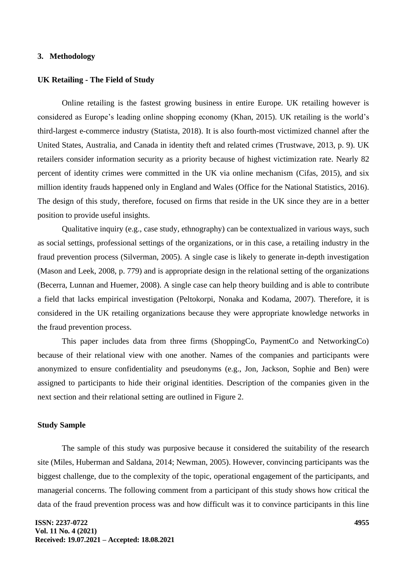### **3. Methodology**

### **UK Retailing - The Field of Study**

Online retailing is the fastest growing business in entire Europe. UK retailing however is considered as Europe's leading online shopping economy (Khan, 2015). UK retailing is the world's third-largest e-commerce industry (Statista, 2018). It is also fourth-most victimized channel after the United States, Australia, and Canada in identity theft and related crimes (Trustwave, 2013, p. 9). UK retailers consider information security as a priority because of highest victimization rate. Nearly 82 percent of identity crimes were committed in the UK via online mechanism (Cifas, 2015), and six million identity frauds happened only in England and Wales (Office for the National Statistics, 2016). The design of this study, therefore, focused on firms that reside in the UK since they are in a better position to provide useful insights.

Qualitative inquiry (e.g., case study, ethnography) can be contextualized in various ways, such as social settings, professional settings of the organizations, or in this case, a retailing industry in the fraud prevention process (Silverman, 2005). A single case is likely to generate in-depth investigation (Mason and Leek, 2008, p. 779) and is appropriate design in the relational setting of the organizations (Becerra, Lunnan and Huemer, 2008). A single case can help theory building and is able to contribute a field that lacks empirical investigation (Peltokorpi, Nonaka and Kodama, 2007). Therefore, it is considered in the UK retailing organizations because they were appropriate knowledge networks in the fraud prevention process.

This paper includes data from three firms (ShoppingCo, PaymentCo and NetworkingCo) because of their relational view with one another. Names of the companies and participants were anonymized to ensure confidentiality and pseudonyms (e.g., Jon, Jackson, Sophie and Ben) were assigned to participants to hide their original identities. Description of the companies given in the next section and their relational setting are outlined in Figure 2.

#### **Study Sample**

The sample of this study was purposive because it considered the suitability of the research site (Miles, Huberman and Saldana, 2014; Newman, 2005). However, convincing participants was the biggest challenge, due to the complexity of the topic, operational engagement of the participants, and managerial concerns. The following comment from a participant of this study shows how critical the data of the fraud prevention process was and how difficult was it to convince participants in this line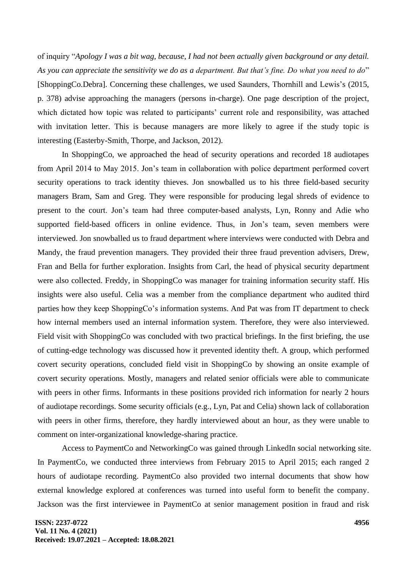of inquiry "*Apology I was a bit wag, because, I had not been actually given background or any detail. As you can appreciate the sensitivity we do as a department. But that's fine. Do what you need to do*" [ShoppingCo.Debra]. Concerning these challenges, we used Saunders, Thornhill and Lewis's (2015, p. 378) advise approaching the managers (persons in-charge). One page description of the project, which dictated how topic was related to participants' current role and responsibility, was attached with invitation letter. This is because managers are more likely to agree if the study topic is interesting (Easterby-Smith, Thorpe, and Jackson, 2012).

In ShoppingCo, we approached the head of security operations and recorded 18 audiotapes from April 2014 to May 2015. Jon's team in collaboration with police department performed covert security operations to track identity thieves. Jon snowballed us to his three field-based security managers Bram, Sam and Greg. They were responsible for producing legal shreds of evidence to present to the court. Jon's team had three computer-based analysts, Lyn, Ronny and Adie who supported field-based officers in online evidence. Thus, in Jon's team, seven members were interviewed. Jon snowballed us to fraud department where interviews were conducted with Debra and Mandy, the fraud prevention managers. They provided their three fraud prevention advisers, Drew, Fran and Bella for further exploration. Insights from Carl, the head of physical security department were also collected. Freddy, in ShoppingCo was manager for training information security staff. His insights were also useful. Celia was a member from the compliance department who audited third parties how they keep ShoppingCo's information systems. And Pat was from IT department to check how internal members used an internal information system. Therefore, they were also interviewed. Field visit with ShoppingCo was concluded with two practical briefings. In the first briefing, the use of cutting-edge technology was discussed how it prevented identity theft. A group, which performed covert security operations, concluded field visit in ShoppingCo by showing an onsite example of covert security operations. Mostly, managers and related senior officials were able to communicate with peers in other firms. Informants in these positions provided rich information for nearly 2 hours of audiotape recordings. Some security officials (e.g., Lyn, Pat and Celia) shown lack of collaboration with peers in other firms, therefore, they hardly interviewed about an hour, as they were unable to comment on inter-organizational knowledge-sharing practice.

Access to PaymentCo and NetworkingCo was gained through LinkedIn social networking site. In PaymentCo, we conducted three interviews from February 2015 to April 2015; each ranged 2 hours of audiotape recording. PaymentCo also provided two internal documents that show how external knowledge explored at conferences was turned into useful form to benefit the company. Jackson was the first interviewee in PaymentCo at senior management position in fraud and risk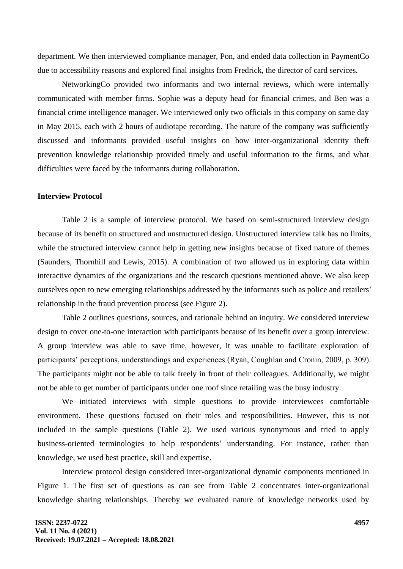department. We then interviewed compliance manager, Pon, and ended data collection in PaymentCo due to accessibility reasons and explored final insights from Fredrick, the director of card services.

NetworkingCo provided two informants and two internal reviews, which were internally communicated with member firms. Sophie was a deputy head for financial crimes, and Ben was a financial crime intelligence manager. We interviewed only two officials in this company on same day in May 2015, each with 2 hours of audiotape recording. The nature of the company was sufficiently discussed and informants provided useful insights on how inter-organizational identity theft prevention knowledge relationship provided timely and useful information to the firms, and what difficulties were faced by the informants during collaboration.

# **Interview Protocol**

Table 2 is a sample of interview protocol. We based on semi-structured interview design because of its benefit on structured and unstructured design. Unstructured interview talk has no limits, while the structured interview cannot help in getting new insights because of fixed nature of themes (Saunders, Thornhill and Lewis, 2015). A combination of two allowed us in exploring data within interactive dynamics of the organizations and the research questions mentioned above. We also keep ourselves open to new emerging relationships addressed by the informants such as police and retailers' relationship in the fraud prevention process (see Figure 2).

Table 2 outlines questions, sources, and rationale behind an inquiry. We considered interview design to cover one-to-one interaction with participants because of its benefit over a group interview. A group interview was able to save time, however, it was unable to facilitate exploration of participants' perceptions, understandings and experiences (Ryan, Coughlan and Cronin, 2009, p. 309). The participants might not be able to talk freely in front of their colleagues. Additionally, we might not be able to get number of participants under one roof since retailing was the busy industry.

We initiated interviews with simple questions to provide interviewees comfortable environment. These questions focused on their roles and responsibilities. However, this is not included in the sample questions (Table 2). We used various synonymous and tried to apply business-oriented terminologies to help respondents' understanding. For instance, rather than knowledge, we used best practice, skill and expertise.

Interview protocol design considered inter-organizational dynamic components mentioned in Figure 1. The first set of questions as can see from Table 2 concentrates inter-organizational knowledge sharing relationships. Thereby we evaluated nature of knowledge networks used by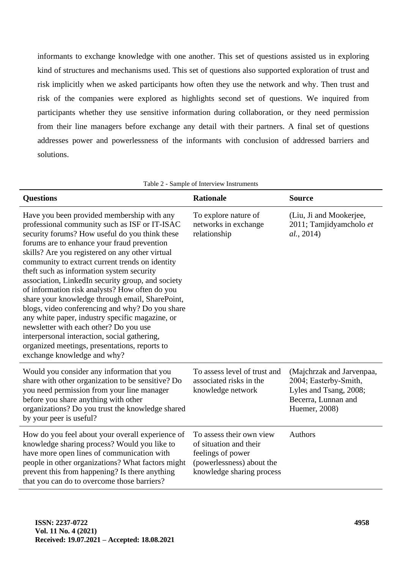informants to exchange knowledge with one another. This set of questions assisted us in exploring kind of structures and mechanisms used. This set of questions also supported exploration of trust and risk implicitly when we asked participants how often they use the network and why. Then trust and risk of the companies were explored as highlights second set of questions. We inquired from participants whether they use sensitive information during collaboration, or they need permission from their line managers before exchange any detail with their partners. A final set of questions addresses power and powerlessness of the informants with conclusion of addressed barriers and solutions.

Table 2 - Sample of Interview Instruments

| <b>Questions</b>                                                                                                                                                                                                                                                                                                                                                                                                                                                                                                                                                                                                                                                                                                                                                                          | <b>Rationale</b>                                                                                                                  | <b>Source</b>                                                                                                        |
|-------------------------------------------------------------------------------------------------------------------------------------------------------------------------------------------------------------------------------------------------------------------------------------------------------------------------------------------------------------------------------------------------------------------------------------------------------------------------------------------------------------------------------------------------------------------------------------------------------------------------------------------------------------------------------------------------------------------------------------------------------------------------------------------|-----------------------------------------------------------------------------------------------------------------------------------|----------------------------------------------------------------------------------------------------------------------|
| Have you been provided membership with any<br>professional community such as ISF or IT-ISAC<br>security forums? How useful do you think these<br>forums are to enhance your fraud prevention<br>skills? Are you registered on any other virtual<br>community to extract current trends on identity<br>theft such as information system security<br>association, LinkedIn security group, and society<br>of information risk analysts? How often do you<br>share your knowledge through email, SharePoint,<br>blogs, video conferencing and why? Do you share<br>any white paper, industry specific magazine, or<br>newsletter with each other? Do you use<br>interpersonal interaction, social gathering,<br>organized meetings, presentations, reports to<br>exchange knowledge and why? | To explore nature of<br>networks in exchange<br>relationship                                                                      | (Liu, Ji and Mookerjee,<br>2011; Tamjidyamcholo et<br>al., 2014)                                                     |
| Would you consider any information that you<br>share with other organization to be sensitive? Do<br>you need permission from your line manager<br>before you share anything with other<br>organizations? Do you trust the knowledge shared<br>by your peer is useful?                                                                                                                                                                                                                                                                                                                                                                                                                                                                                                                     | To assess level of trust and<br>associated risks in the<br>knowledge network                                                      | (Majchrzak and Jarvenpaa,<br>2004; Easterby-Smith,<br>Lyles and Tsang, 2008;<br>Becerra, Lunnan and<br>Huemer, 2008) |
| How do you feel about your overall experience of<br>knowledge sharing process? Would you like to<br>have more open lines of communication with<br>people in other organizations? What factors might<br>prevent this from happening? Is there anything<br>that you can do to overcome those barriers?                                                                                                                                                                                                                                                                                                                                                                                                                                                                                      | To assess their own view<br>of situation and their<br>feelings of power<br>(powerlessness) about the<br>knowledge sharing process | Authors                                                                                                              |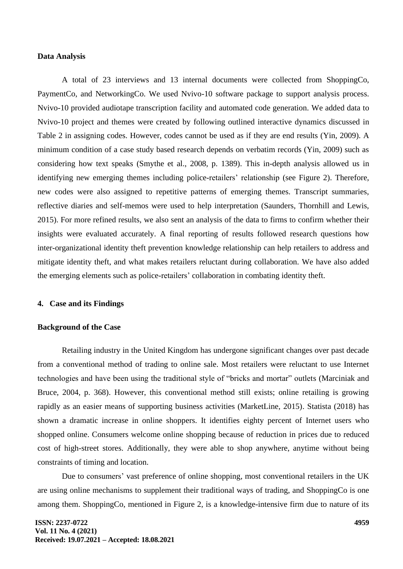### **Data Analysis**

A total of 23 interviews and 13 internal documents were collected from ShoppingCo, PaymentCo, and NetworkingCo. We used Nvivo-10 software package to support analysis process. Nvivo-10 provided audiotape transcription facility and automated code generation. We added data to Nvivo-10 project and themes were created by following outlined interactive dynamics discussed in Table 2 in assigning codes. However, codes cannot be used as if they are end results (Yin, 2009). A minimum condition of a case study based research depends on verbatim records (Yin, 2009) such as considering how text speaks (Smythe et al., 2008, p. 1389). This in-depth analysis allowed us in identifying new emerging themes including police-retailers' relationship (see Figure 2). Therefore, new codes were also assigned to repetitive patterns of emerging themes. Transcript summaries, reflective diaries and self-memos were used to help interpretation (Saunders, Thornhill and Lewis, 2015). For more refined results, we also sent an analysis of the data to firms to confirm whether their insights were evaluated accurately. A final reporting of results followed research questions how inter-organizational identity theft prevention knowledge relationship can help retailers to address and mitigate identity theft, and what makes retailers reluctant during collaboration. We have also added the emerging elements such as police-retailers' collaboration in combating identity theft.

### **4. Case and its Findings**

### **Background of the Case**

Retailing industry in the United Kingdom has undergone significant changes over past decade from a conventional method of trading to online sale. Most retailers were reluctant to use Internet technologies and have been using the traditional style of "bricks and mortar" outlets (Marciniak and Bruce, 2004, p. 368). However, this conventional method still exists; online retailing is growing rapidly as an easier means of supporting business activities (MarketLine, 2015). Statista (2018) has shown a dramatic increase in online shoppers. It identifies eighty percent of Internet users who shopped online. Consumers welcome online shopping because of reduction in prices due to reduced cost of high-street stores. Additionally, they were able to shop anywhere, anytime without being constraints of timing and location.

Due to consumers' vast preference of online shopping, most conventional retailers in the UK are using online mechanisms to supplement their traditional ways of trading, and ShoppingCo is one among them. ShoppingCo, mentioned in Figure 2, is a knowledge-intensive firm due to nature of its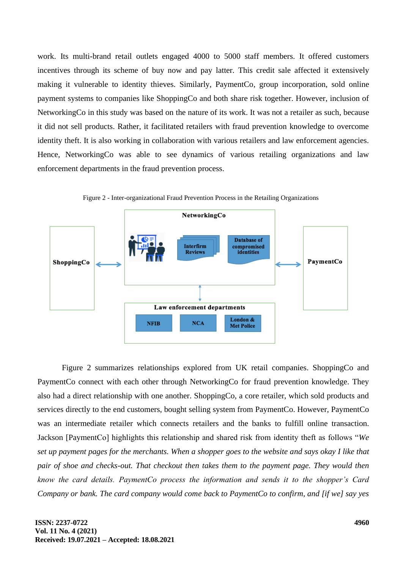work. Its multi-brand retail outlets engaged 4000 to 5000 staff members. It offered customers incentives through its scheme of buy now and pay latter. This credit sale affected it extensively making it vulnerable to identity thieves. Similarly, PaymentCo, group incorporation, sold online payment systems to companies like ShoppingCo and both share risk together. However, inclusion of NetworkingCo in this study was based on the nature of its work. It was not a retailer as such, because it did not sell products. Rather, it facilitated retailers with fraud prevention knowledge to overcome identity theft. It is also working in collaboration with various retailers and law enforcement agencies. Hence, NetworkingCo was able to see dynamics of various retailing organizations and law enforcement departments in the fraud prevention process.



Figure 2 - Inter-organizational Fraud Prevention Process in the Retailing Organizations

Figure 2 summarizes relationships explored from UK retail companies. ShoppingCo and PaymentCo connect with each other through NetworkingCo for fraud prevention knowledge. They also had a direct relationship with one another. ShoppingCo, a core retailer, which sold products and services directly to the end customers, bought selling system from PaymentCo. However, PaymentCo was an intermediate retailer which connects retailers and the banks to fulfill online transaction. Jackson [PaymentCo] highlights this relationship and shared risk from identity theft as follows "*We set up payment pages for the merchants. When a shopper goes to the website and says okay I like that pair of shoe and checks-out. That checkout then takes them to the payment page. They would then know the card details. PaymentCo process the information and sends it to the shopper's Card Company or bank. The card company would come back to PaymentCo to confirm, and [if we] say yes*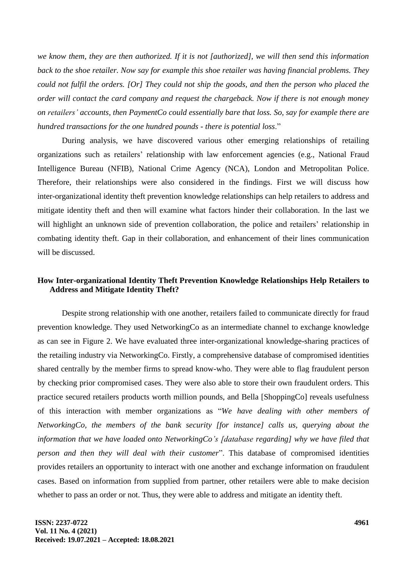*we know them, they are then authorized. If it is not [authorized], we will then send this information back to the shoe retailer. Now say for example this shoe retailer was having financial problems. They could not fulfil the orders. [Or] They could not ship the goods, and then the person who placed the order will contact the card company and request the chargeback. Now if there is not enough money on retailers' accounts, then PaymentCo could essentially bare that loss. So, say for example there are hundred transactions for the one hundred pounds - there is potential loss*."

During analysis, we have discovered various other emerging relationships of retailing organizations such as retailers' relationship with law enforcement agencies (e.g., National Fraud Intelligence Bureau (NFIB), National Crime Agency (NCA), London and Metropolitan Police. Therefore, their relationships were also considered in the findings. First we will discuss how inter-organizational identity theft prevention knowledge relationships can help retailers to address and mitigate identity theft and then will examine what factors hinder their collaboration. In the last we will highlight an unknown side of prevention collaboration, the police and retailers' relationship in combating identity theft. Gap in their collaboration, and enhancement of their lines communication will be discussed.

# **How Inter-organizational Identity Theft Prevention Knowledge Relationships Help Retailers to Address and Mitigate Identity Theft?**

Despite strong relationship with one another, retailers failed to communicate directly for fraud prevention knowledge. They used NetworkingCo as an intermediate channel to exchange knowledge as can see in Figure 2. We have evaluated three inter-organizational knowledge-sharing practices of the retailing industry via NetworkingCo. Firstly, a comprehensive database of compromised identities shared centrally by the member firms to spread know-who. They were able to flag fraudulent person by checking prior compromised cases. They were also able to store their own fraudulent orders. This practice secured retailers products worth million pounds, and Bella [ShoppingCo] reveals usefulness of this interaction with member organizations as "*We have dealing with other members of NetworkingCo, the members of the bank security [for instance] calls us, querying about the information that we have loaded onto NetworkingCo's [database regarding] why we have filed that person and then they will deal with their customer*". This database of compromised identities provides retailers an opportunity to interact with one another and exchange information on fraudulent cases. Based on information from supplied from partner, other retailers were able to make decision whether to pass an order or not. Thus, they were able to address and mitigate an identity theft.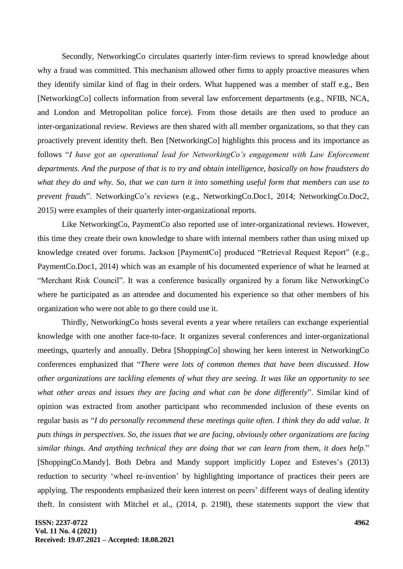Secondly, NetworkingCo circulates quarterly inter-firm reviews to spread knowledge about why a fraud was committed. This mechanism allowed other firms to apply proactive measures when they identify similar kind of flag in their orders. What happened was a member of staff e.g., Ben [NetworkingCo] collects information from several law enforcement departments (e.g., NFIB, NCA, and London and Metropolitan police force). From those details are then used to produce an inter-organizational review. Reviews are then shared with all member organizations, so that they can proactively prevent identity theft. Ben [NetworkingCo] highlights this process and its importance as follows "*I have got an operational lead for NetworkingCo's engagement with Law Enforcement departments. And the purpose of that is to try and obtain intelligence, basically on how fraudsters do what they do and why. So, that we can turn it into something useful form that members can use to prevent frauds*". NetworkingCo's reviews (e.g., NetworkingCo.Doc1, 2014; NetworkingCo.Doc2, 2015) were examples of their quarterly inter-organizational reports.

Like NetworkingCo, PaymentCo also reported use of inter-organizational reviews. However, this time they create their own knowledge to share with internal members rather than using mixed up knowledge created over forums. Jackson [PaymentCo] produced "Retrieval Request Report" (e.g., PaymentCo.Doc1, 2014) which was an example of his documented experience of what he learned at "Merchant Risk Council". It was a conference basically organized by a forum like NetworkingCo where he participated as an attendee and documented his experience so that other members of his organization who were not able to go there could use it.

Thirdly, NetworkingCo hosts several events a year where retailers can exchange experiential knowledge with one another face-to-face. It organizes several conferences and inter-organizational meetings, quarterly and annually. Debra [ShoppingCo] showing her keen interest in NetworkingCo conferences emphasized that "*There were lots of common themes that have been discussed. How other organizations are tackling elements of what they are seeing. It was like an opportunity to see what other areas and issues they are facing and what can be done differently*". Similar kind of opinion was extracted from another participant who recommended inclusion of these events on regular basis as "*I do personally recommend these meetings quite often. I think they do add value. It puts things in perspectives. So, the issues that we are facing, obviously other organizations are facing similar things. And anything technical they are doing that we can learn from them, it does help*." [ShoppingCo.Mandy]. Both Debra and Mandy support implicitly Lopez and Esteves's (2013) reduction to security 'wheel re-invention' by highlighting importance of practices their peers are applying. The respondents emphasized their keen interest on peers' different ways of dealing identity theft. In consistent with Mitchel et al., (2014, p. 2198), these statements support the view that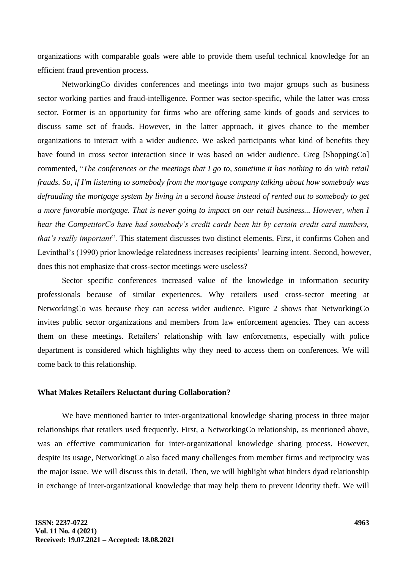organizations with comparable goals were able to provide them useful technical knowledge for an efficient fraud prevention process.

NetworkingCo divides conferences and meetings into two major groups such as business sector working parties and fraud-intelligence. Former was sector-specific, while the latter was cross sector. Former is an opportunity for firms who are offering same kinds of goods and services to discuss same set of frauds. However, in the latter approach, it gives chance to the member organizations to interact with a wider audience. We asked participants what kind of benefits they have found in cross sector interaction since it was based on wider audience. Greg [ShoppingCo] commented, "*The conferences or the meetings that I go to, sometime it has nothing to do with retail frauds. So, if I'm listening to somebody from the mortgage company talking about how somebody was defrauding the mortgage system by living in a second house instead of rented out to somebody to get a more favorable mortgage. That is never going to impact on our retail business... However, when I hear the CompetitorCo have had somebody's credit cards been hit by certain credit card numbers, that's really important*". This statement discusses two distinct elements. First, it confirms Cohen and Levinthal's (1990) prior knowledge relatedness increases recipients' learning intent. Second, however, does this not emphasize that cross-sector meetings were useless?

Sector specific conferences increased value of the knowledge in information security professionals because of similar experiences. Why retailers used cross-sector meeting at NetworkingCo was because they can access wider audience. Figure 2 shows that NetworkingCo invites public sector organizations and members from law enforcement agencies. They can access them on these meetings. Retailers' relationship with law enforcements, especially with police department is considered which highlights why they need to access them on conferences. We will come back to this relationship.

### **What Makes Retailers Reluctant during Collaboration?**

We have mentioned barrier to inter-organizational knowledge sharing process in three major relationships that retailers used frequently. First, a NetworkingCo relationship, as mentioned above, was an effective communication for inter-organizational knowledge sharing process. However, despite its usage, NetworkingCo also faced many challenges from member firms and reciprocity was the major issue. We will discuss this in detail. Then, we will highlight what hinders dyad relationship in exchange of inter-organizational knowledge that may help them to prevent identity theft. We will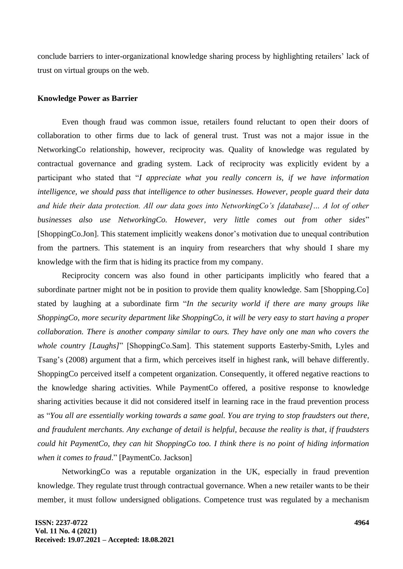conclude barriers to inter-organizational knowledge sharing process by highlighting retailers' lack of trust on virtual groups on the web.

# **Knowledge Power as Barrier**

Even though fraud was common issue, retailers found reluctant to open their doors of collaboration to other firms due to lack of general trust. Trust was not a major issue in the NetworkingCo relationship, however, reciprocity was. Quality of knowledge was regulated by contractual governance and grading system. Lack of reciprocity was explicitly evident by a participant who stated that "*I appreciate what you really concern is, if we have information intelligence, we should pass that intelligence to other businesses. However, people guard their data and hide their data protection. All our data goes into NetworkingCo's [database]… A lot of other businesses also use NetworkingCo. However, very little comes out from other sides*" [ShoppingCo.Jon]. This statement implicitly weakens donor's motivation due to unequal contribution from the partners. This statement is an inquiry from researchers that why should I share my knowledge with the firm that is hiding its practice from my company.

Reciprocity concern was also found in other participants implicitly who feared that a subordinate partner might not be in position to provide them quality knowledge. Sam [Shopping.Co] stated by laughing at a subordinate firm "*In the security world if there are many groups like ShoppingCo, more security department like ShoppingCo, it will be very easy to start having a proper collaboration. There is another company similar to ours. They have only one man who covers the whole country [Laughs]*" [ShoppingCo.Sam]. This statement supports Easterby-Smith, Lyles and Tsang's (2008) argument that a firm, which perceives itself in highest rank, will behave differently. ShoppingCo perceived itself a competent organization. Consequently, it offered negative reactions to the knowledge sharing activities. While PaymentCo offered, a positive response to knowledge sharing activities because it did not considered itself in learning race in the fraud prevention process as "*You all are essentially working towards a same goal. You are trying to stop fraudsters out there, and fraudulent merchants. Any exchange of detail is helpful, because the reality is that, if fraudsters could hit PaymentCo, they can hit ShoppingCo too. I think there is no point of hiding information when it comes to fraud*." [PaymentCo. Jackson]

NetworkingCo was a reputable organization in the UK, especially in fraud prevention knowledge. They regulate trust through contractual governance. When a new retailer wants to be their member, it must follow undersigned obligations. Competence trust was regulated by a mechanism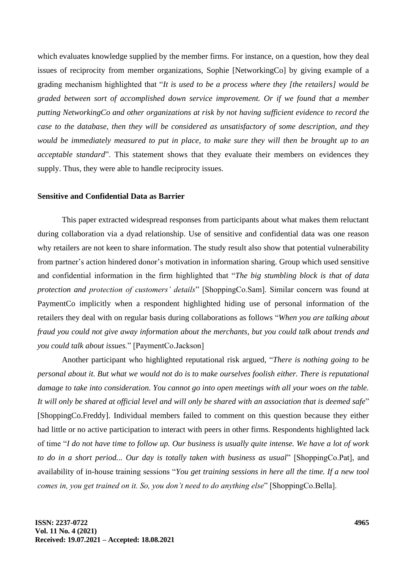which evaluates knowledge supplied by the member firms. For instance, on a question, how they deal issues of reciprocity from member organizations, Sophie [NetworkingCo] by giving example of a grading mechanism highlighted that "*It is used to be a process where they [the retailers] would be graded between sort of accomplished down service improvement. Or if we found that a member putting NetworkingCo and other organizations at risk by not having sufficient evidence to record the case to the database, then they will be considered as unsatisfactory of some description, and they would be immediately measured to put in place, to make sure they will then be brought up to an acceptable standard*". This statement shows that they evaluate their members on evidences they supply. Thus, they were able to handle reciprocity issues.

# **Sensitive and Confidential Data as Barrier**

This paper extracted widespread responses from participants about what makes them reluctant during collaboration via a dyad relationship. Use of sensitive and confidential data was one reason why retailers are not keen to share information. The study result also show that potential vulnerability from partner's action hindered donor's motivation in information sharing. Group which used sensitive and confidential information in the firm highlighted that "*The big stumbling block is that of data protection and protection of customers' details*" [ShoppingCo.Sam]. Similar concern was found at PaymentCo implicitly when a respondent highlighted hiding use of personal information of the retailers they deal with on regular basis during collaborations as follows "*When you are talking about fraud you could not give away information about the merchants, but you could talk about trends and you could talk about issues.*" [PaymentCo.Jackson]

Another participant who highlighted reputational risk argued, "*There is nothing going to be personal about it. But what we would not do is to make ourselves foolish either. There is reputational damage to take into consideration. You cannot go into open meetings with all your woes on the table. It will only be shared at official level and will only be shared with an association that is deemed safe*" [ShoppingCo.Freddy]. Individual members failed to comment on this question because they either had little or no active participation to interact with peers in other firms. Respondents highlighted lack of time "*I do not have time to follow up. Our business is usually quite intense. We have a lot of work to do in a short period... Our day is totally taken with business as usual*" [ShoppingCo.Pat], and availability of in-house training sessions "*You get training sessions in here all the time. If a new tool comes in, you get trained on it. So, you don't need to do anything else*" [ShoppingCo.Bella].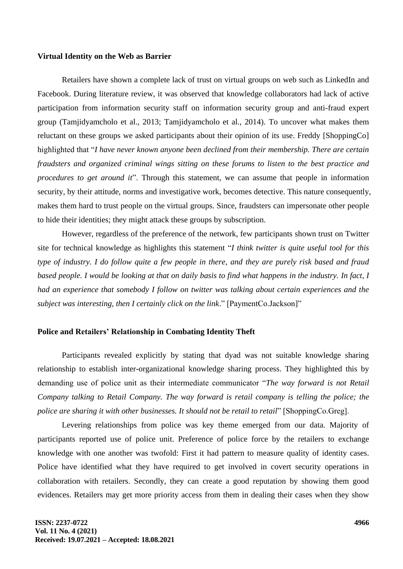### **Virtual Identity on the Web as Barrier**

Retailers have shown a complete lack of trust on virtual groups on web such as LinkedIn and Facebook. During literature review, it was observed that knowledge collaborators had lack of active participation from information security staff on information security group and anti-fraud expert group (Tamjidyamcholo et al., 2013; Tamjidyamcholo et al., 2014). To uncover what makes them reluctant on these groups we asked participants about their opinion of its use. Freddy [ShoppingCo] highlighted that "*I have never known anyone been declined from their membership. There are certain fraudsters and organized criminal wings sitting on these forums to listen to the best practice and procedures to get around it*". Through this statement, we can assume that people in information security, by their attitude, norms and investigative work, becomes detective. This nature consequently, makes them hard to trust people on the virtual groups. Since, fraudsters can impersonate other people to hide their identities; they might attack these groups by subscription.

However, regardless of the preference of the network, few participants shown trust on Twitter site for technical knowledge as highlights this statement "*I think twitter is quite useful tool for this type of industry. I do follow quite a few people in there, and they are purely risk based and fraud based people. I would be looking at that on daily basis to find what happens in the industry. In fact, I had an experience that somebody I follow on twitter was talking about certain experiences and the subject was interesting, then I certainly click on the link*." [PaymentCo.Jackson]"

### **Police and Retailers' Relationship in Combating Identity Theft**

Participants revealed explicitly by stating that dyad was not suitable knowledge sharing relationship to establish inter-organizational knowledge sharing process. They highlighted this by demanding use of police unit as their intermediate communicator "*The way forward is not Retail Company talking to Retail Company. The way forward is retail company is telling the police; the police are sharing it with other businesses. It should not be retail to retail*" [ShoppingCo.Greg].

Levering relationships from police was key theme emerged from our data. Majority of participants reported use of police unit. Preference of police force by the retailers to exchange knowledge with one another was twofold: First it had pattern to measure quality of identity cases. Police have identified what they have required to get involved in covert security operations in collaboration with retailers. Secondly, they can create a good reputation by showing them good evidences. Retailers may get more priority access from them in dealing their cases when they show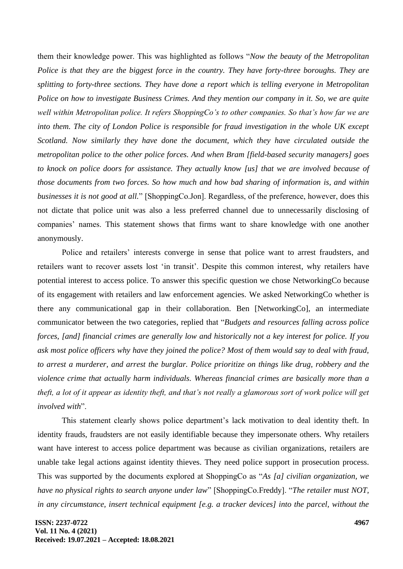them their knowledge power. This was highlighted as follows "*Now the beauty of the Metropolitan Police is that they are the biggest force in the country. They have forty-three boroughs. They are splitting to forty-three sections. They have done a report which is telling everyone in Metropolitan Police on how to investigate Business Crimes. And they mention our company in it. So, we are quite well within Metropolitan police. It refers ShoppingCo's to other companies. So that's how far we are into them. The city of London Police is responsible for fraud investigation in the whole UK except Scotland. Now similarly they have done the document, which they have circulated outside the metropolitan police to the other police forces. And when Bram [field-based security managers] goes to knock on police doors for assistance. They actually know [us] that we are involved because of those documents from two forces. So how much and how bad sharing of information is, and within businesses it is not good at all.*" [ShoppingCo.Jon]. Regardless, of the preference, however, does this not dictate that police unit was also a less preferred channel due to unnecessarily disclosing of companies' names. This statement shows that firms want to share knowledge with one another anonymously.

Police and retailers' interests converge in sense that police want to arrest fraudsters, and retailers want to recover assets lost 'in transit'. Despite this common interest, why retailers have potential interest to access police. To answer this specific question we chose NetworkingCo because of its engagement with retailers and law enforcement agencies. We asked NetworkingCo whether is there any communicational gap in their collaboration. Ben [NetworkingCo], an intermediate communicator between the two categories, replied that "*Budgets and resources falling across police forces, [and] financial crimes are generally low and historically not a key interest for police. If you ask most police officers why have they joined the police? Most of them would say to deal with fraud, to arrest a murderer, and arrest the burglar. Police prioritize on things like drug, robbery and the violence crime that actually harm individuals. Whereas financial crimes are basically more than a theft, a lot of it appear as identity theft, and that's not really a glamorous sort of work police will get involved with*".

This statement clearly shows police department's lack motivation to deal identity theft. In identity frauds, fraudsters are not easily identifiable because they impersonate others. Why retailers want have interest to access police department was because as civilian organizations, retailers are unable take legal actions against identity thieves. They need police support in prosecution process. This was supported by the documents explored at ShoppingCo as "*As [a] civilian organization, we have no physical rights to search anyone under law*" [ShoppingCo.Freddy]. "*The retailer must NOT, in any circumstance, insert technical equipment [e.g. a tracker devices] into the parcel, without the*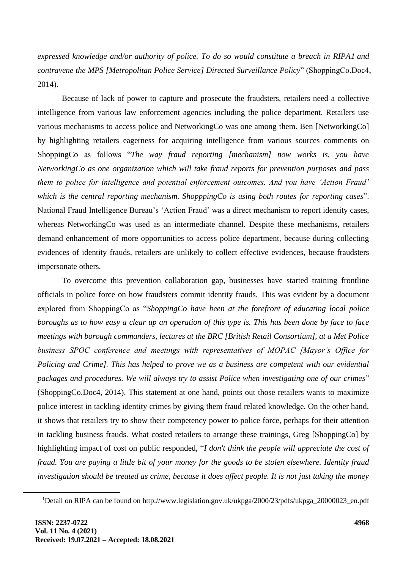*expressed knowledge and/or authority of police. To do so would constitute a breach in RIPA1 and contravene the MPS [Metropolitan Police Service] Directed Surveillance Policy*" (ShoppingCo.Doc4, 2014).

Because of lack of power to capture and prosecute the fraudsters, retailers need a collective intelligence from various law enforcement agencies including the police department. Retailers use various mechanisms to access police and NetworkingCo was one among them. Ben [NetworkingCo] by highlighting retailers eagerness for acquiring intelligence from various sources comments on ShoppingCo as follows "*The way fraud reporting [mechanism] now works is, you have NetworkingCo as one organization which will take fraud reports for prevention purposes and pass them to police for intelligence and potential enforcement outcomes. And you have 'Action Fraud' which is the central reporting mechanism. ShopppingCo is using both routes for reporting cases*". National Fraud Intelligence Bureau's 'Action Fraud' was a direct mechanism to report identity cases, whereas NetworkingCo was used as an intermediate channel. Despite these mechanisms, retailers demand enhancement of more opportunities to access police department, because during collecting evidences of identity frauds, retailers are unlikely to collect effective evidences, because fraudsters impersonate others.

To overcome this prevention collaboration gap, businesses have started training frontline officials in police force on how fraudsters commit identity frauds. This was evident by a document explored from ShoppingCo as "*ShoppingCo have been at the forefront of educating local police boroughs as to how easy a clear up an operation of this type is. This has been done by face to face meetings with borough commanders, lectures at the BRC [British Retail Consortium], at a Met Police business SPOC conference and meetings with representatives of MOPAC [Mayor's Office for Policing and Crime]. This has helped to prove we as a business are competent with our evidential packages and procedures. We will always try to assist Police when investigating one of our crimes*" (ShoppingCo.Doc4, 2014). This statement at one hand, points out those retailers wants to maximize police interest in tackling identity crimes by giving them fraud related knowledge. On the other hand, it shows that retailers try to show their competency power to police force, perhaps for their attention in tackling business frauds. What costed retailers to arrange these trainings, Greg [ShoppingCo] by highlighting impact of cost on public responded, "*I don't think the people will appreciate the cost of fraud. You are paying a little bit of your money for the goods to be stolen elsewhere. Identity fraud investigation should be treated as crime, because it does affect people. It is not just taking the money* 

<sup>&</sup>lt;sup>1</sup>Detail on RIPA can be found on http://www.legislation.gov.uk/ukpga/2000/23/pdfs/ukpga\_20000023\_en.pdf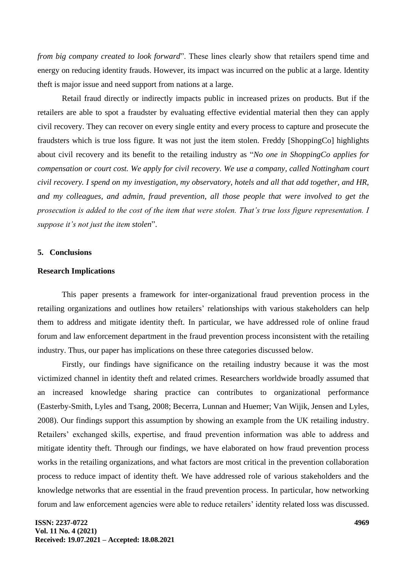*from big company created to look forward*". These lines clearly show that retailers spend time and energy on reducing identity frauds. However, its impact was incurred on the public at a large. Identity theft is major issue and need support from nations at a large.

Retail fraud directly or indirectly impacts public in increased prizes on products. But if the retailers are able to spot a fraudster by evaluating effective evidential material then they can apply civil recovery. They can recover on every single entity and every process to capture and prosecute the fraudsters which is true loss figure. It was not just the item stolen. Freddy [ShoppingCo] highlights about civil recovery and its benefit to the retailing industry as "*No one in ShoppingCo applies for compensation or court cost. We apply for civil recovery. We use a company, called Nottingham court civil recovery. I spend on my investigation, my observatory, hotels and all that add together, and HR, and my colleagues, and admin, fraud prevention, all those people that were involved to get the prosecution is added to the cost of the item that were stolen. That's true loss figure representation. I suppose it's not just the item stolen*".

### **5. Conclusions**

### **Research Implications**

This paper presents a framework for inter-organizational fraud prevention process in the retailing organizations and outlines how retailers' relationships with various stakeholders can help them to address and mitigate identity theft. In particular, we have addressed role of online fraud forum and law enforcement department in the fraud prevention process inconsistent with the retailing industry. Thus, our paper has implications on these three categories discussed below.

Firstly, our findings have significance on the retailing industry because it was the most victimized channel in identity theft and related crimes. Researchers worldwide broadly assumed that an increased knowledge sharing practice can contributes to organizational performance (Easterby-Smith, Lyles and Tsang, 2008; Becerra, Lunnan and Huemer; Van Wijik, Jensen and Lyles, 2008). Our findings support this assumption by showing an example from the UK retailing industry. Retailers' exchanged skills, expertise, and fraud prevention information was able to address and mitigate identity theft. Through our findings, we have elaborated on how fraud prevention process works in the retailing organizations, and what factors are most critical in the prevention collaboration process to reduce impact of identity theft. We have addressed role of various stakeholders and the knowledge networks that are essential in the fraud prevention process. In particular, how networking forum and law enforcement agencies were able to reduce retailers' identity related loss was discussed.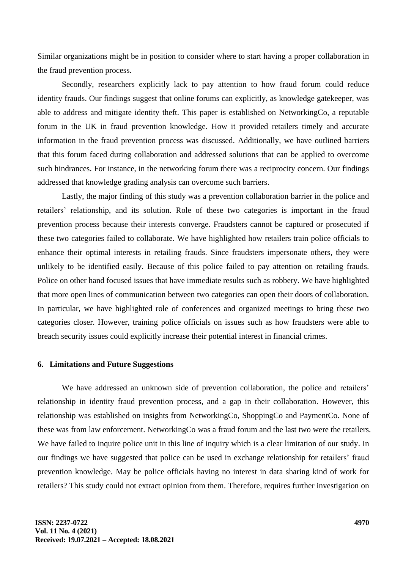Similar organizations might be in position to consider where to start having a proper collaboration in the fraud prevention process.

Secondly, researchers explicitly lack to pay attention to how fraud forum could reduce identity frauds. Our findings suggest that online forums can explicitly, as knowledge gatekeeper, was able to address and mitigate identity theft. This paper is established on NetworkingCo, a reputable forum in the UK in fraud prevention knowledge. How it provided retailers timely and accurate information in the fraud prevention process was discussed. Additionally, we have outlined barriers that this forum faced during collaboration and addressed solutions that can be applied to overcome such hindrances. For instance, in the networking forum there was a reciprocity concern. Our findings addressed that knowledge grading analysis can overcome such barriers.

Lastly, the major finding of this study was a prevention collaboration barrier in the police and retailers' relationship, and its solution. Role of these two categories is important in the fraud prevention process because their interests converge. Fraudsters cannot be captured or prosecuted if these two categories failed to collaborate. We have highlighted how retailers train police officials to enhance their optimal interests in retailing frauds. Since fraudsters impersonate others, they were unlikely to be identified easily. Because of this police failed to pay attention on retailing frauds. Police on other hand focused issues that have immediate results such as robbery. We have highlighted that more open lines of communication between two categories can open their doors of collaboration. In particular, we have highlighted role of conferences and organized meetings to bring these two categories closer. However, training police officials on issues such as how fraudsters were able to breach security issues could explicitly increase their potential interest in financial crimes.

### **6. Limitations and Future Suggestions**

We have addressed an unknown side of prevention collaboration, the police and retailers' relationship in identity fraud prevention process, and a gap in their collaboration. However, this relationship was established on insights from NetworkingCo, ShoppingCo and PaymentCo. None of these was from law enforcement. NetworkingCo was a fraud forum and the last two were the retailers. We have failed to inquire police unit in this line of inquiry which is a clear limitation of our study. In our findings we have suggested that police can be used in exchange relationship for retailers' fraud prevention knowledge. May be police officials having no interest in data sharing kind of work for retailers? This study could not extract opinion from them. Therefore, requires further investigation on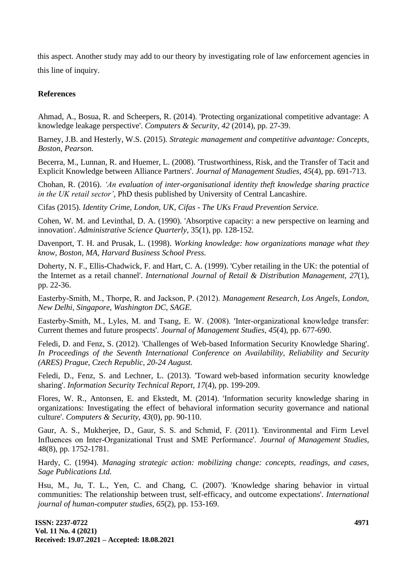this aspect. Another study may add to our theory by investigating role of law enforcement agencies in this line of inquiry.

# **References**

Ahmad, A., Bosua, R. and Scheepers, R. (2014). 'Protecting organizational competitive advantage: A knowledge leakage perspective'. *Computers & Security, 42* (2014), pp. 27-39.

Barney, J.B. and Hesterly, W.S. (2015). *Strategic management and competitive advantage: Concepts, Boston, Pearson.*

Becerra, M., Lunnan, R. and Huemer, L. (2008). 'Trustworthiness, Risk, and the Transfer of Tacit and Explicit Knowledge between Alliance Partners'. *Journal of Management Studies, 45*(4), pp. 691-713.

Chohan, R. (2016). *'An evaluation of inter-organisational identity theft knowledge sharing practice in the UK retail sector',* PhD thesis published by University of Central Lancashire.

Cifas (2015). *Identity Crime, London, UK, Cifas - The UKs Fraud Prevention Service.*

Cohen, W. M. and Levinthal, D. A. (1990). 'Absorptive capacity: a new perspective on learning and innovation'. *Administrative Science Quarterly,* 35(1), pp. 128-152.

Davenport, T. H. and Prusak, L. (1998). *Working knowledge: how organizations manage what they know, Boston, MA, Harvard Business School Press.*

Doherty, N. F., Ellis-Chadwick, F. and Hart, C. A. (1999). 'Cyber retailing in the UK: the potential of the Internet as a retail channel'. *International Journal of Retail & Distribution Management, 27*(1), pp. 22-36.

Easterby‐Smith, M., Thorpe, R. and Jackson, P. (2012). *Management Research, Los Angels, London, New Delhi, Singapore, Washington DC, SAGE.* 

Easterby‐Smith, M., Lyles, M. and Tsang, E. W. (2008). 'Inter‐organizational knowledge transfer: Current themes and future prospects'. *Journal of Management Studies, 45*(4), pp. 677-690.

Feledi, D. and Fenz, S. (2012). 'Challenges of Web-based Information Security Knowledge Sharing'. *In Proceedings of the Seventh International Conference on Availability, Reliability and Security (ARES) Prague, Czech Republic, 20-24 August.*

Feledi, D., Fenz, S. and Lechner, L. (2013). 'Toward web-based information security knowledge sharing'. *Information Security Technical Report, 17*(4), pp. 199-209.

Flores, W. R., Antonsen, E. and Ekstedt, M. (2014). 'Information security knowledge sharing in organizations: Investigating the effect of behavioral information security governance and national culture'. *Computers & Security, 43*(0), pp. 90-110.

Gaur, A. S., Mukherjee, D., Gaur, S. S. and Schmid, F. (2011). 'Environmental and Firm Level Influences on Inter‐Organizational Trust and SME Performance'. *Journal of Management Studies,* 48(8), pp. 1752-1781.

Hardy, C. (1994). *Managing strategic action: mobilizing change: concepts, readings, and cases, Sage Publications Ltd.*

Hsu, M., Ju, T. L., Yen, C. and Chang, C. (2007). 'Knowledge sharing behavior in virtual communities: The relationship between trust, self-efficacy, and outcome expectations'. *International journal of human-computer studies, 65*(2), pp. 153-169.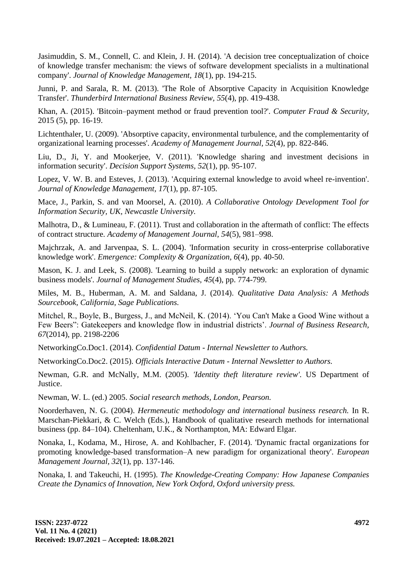Jasimuddin, S. M., Connell, C. and Klein, J. H. (2014). 'A decision tree conceptualization of choice of knowledge transfer mechanism: the views of software development specialists in a multinational company'. *Journal of Knowledge Management, 18*(1), pp. 194-215.

Junni, P. and Sarala, R. M. (2013). 'The Role of Absorptive Capacity in Acquisition Knowledge Transfer'. *Thunderbird International Business Review, 55*(4), pp. 419-438.

Khan, A. (2015). 'Bitcoin–payment method or fraud prevention tool?'. *Computer Fraud & Security,*  2015 (5), pp. 16-19.

Lichtenthaler, U. (2009). 'Absorptive capacity, environmental turbulence, and the complementarity of organizational learning processes'. *Academy of Management Journal, 52*(4), pp. 822-846.

Liu, D., Ji, Y. and Mookerjee, V. (2011). 'Knowledge sharing and investment decisions in information security'. *Decision Support Systems, 52*(1), pp. 95-107.

Lopez, V. W. B. and Esteves, J. (2013). 'Acquiring external knowledge to avoid wheel re-invention'. *Journal of Knowledge Management, 17*(1), pp. 87-105.

Mace, J., Parkin, S. and van Moorsel, A. (2010). *A Collaborative Ontology Development Tool for Information Security, UK, Newcastle University.*

Malhotra, D., & Lumineau, F. (2011). Trust and collaboration in the aftermath of conflict: The effects of contract structure. *Academy of Management Journal, 54*(5), 981–998.

Majchrzak, A. and Jarvenpaa, S. L. (2004). 'Information security in cross-enterprise collaborative knowledge work'. *Emergence: Complexity & Organization, 6*(4), pp. 40-50.

Mason, K. J. and Leek, S. (2008). 'Learning to build a supply network: an exploration of dynamic business models'. *Journal of Management Studies, 45*(4), pp. 774-799.

Miles, M. B., Huberman, A. M. and Saldana, J. (2014). *Qualitative Data Analysis: A Methods Sourcebook, California, Sage Publications.*

Mitchel, R., Boyle, B., Burgess, J., and McNeil, K. (2014). 'You Can't Make a Good Wine without a Few Beers": Gatekeepers and knowledge flow in industrial districts'. *Journal of Business Research, 67*(2014), pp. 2198-2206

NetworkingCo.Doc1. (2014). *Confidential Datum - Internal Newsletter to Authors.* 

NetworkingCo.Doc2. (2015). *Officials Interactive Datum - Internal Newsletter to Authors.* 

Newman, G.R. and McNally, M.M. (2005). *'Identity theft literature review'.* US Department of Justice.

Newman, W. L. (ed.) 2005. *Social research methods, London, Pearson.*

Noorderhaven, N. G. (2004). *Hermeneutic methodology and international business research.* In R. Marschan-Piekkari, & C. Welch (Eds.), Handbook of qualitative research methods for international business (pp. 84–104). Cheltenham, U.K., & Northampton, MA: Edward Elgar.

Nonaka, I., Kodama, M., Hirose, A. and Kohlbacher, F. (2014). 'Dynamic fractal organizations for promoting knowledge-based transformation–A new paradigm for organizational theory'. *European Management Journal, 32*(1), pp. 137-146.

Nonaka, I. and Takeuchi, H. (1995). *The Knowledge-Creating Company: How Japanese Companies Create the Dynamics of Innovation, New York Oxford, Oxford university press.*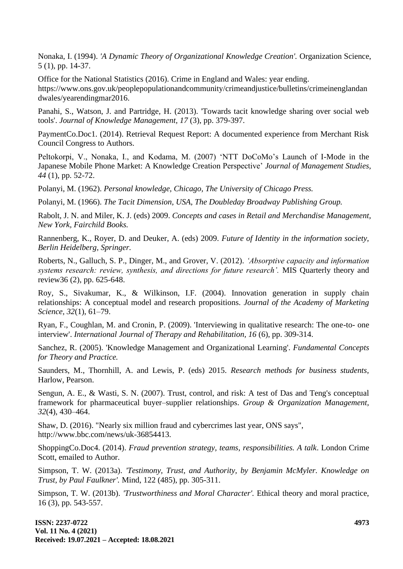Nonaka, I. (1994). *'A Dynamic Theory of Organizational Knowledge Creation'.* Organization Science, 5 (1), pp. 14-37.

Office for the National Statistics (2016). Crime in England and Wales: year ending.

[https://www.ons.gov.uk/peoplepopulationandcommunity/crimeandjustice/bulletins/crimeinenglandan](https://www.ons.gov.uk/peoplepopulationandcommunity/crimeandjustice/bulletins/crimeinenglandandwales/yearendingmar2016) [dwales/yearendingmar2016.](https://www.ons.gov.uk/peoplepopulationandcommunity/crimeandjustice/bulletins/crimeinenglandandwales/yearendingmar2016)

Panahi, S., Watson, J. and Partridge, H. (2013). 'Towards tacit knowledge sharing over social web tools'. *Journal of Knowledge Management, 17* (3), pp. 379-397.

PaymentCo.Doc1. (2014). Retrieval Request Report: A documented experience from Merchant Risk Council Congress to Authors.

Peltokorpi, V., Nonaka, I., and Kodama, M. (2007) 'NTT DoCoMo's Launch of I-Mode in the Japanese Mobile Phone Market: A Knowledge Creation Perspective' *Journal of Management Studies, 44* (1), pp. 52-72.

Polanyi, M. (1962). *Personal knowledge, Chicago, The University of Chicago Press.*

Polanyi, M. (1966). *The Tacit Dimension, USA, The Doubleday Broadway Publishing Group.*

Rabolt, J. N. and Miler, K. J. (eds) 2009. *Concepts and cases in Retail and Merchandise Management, New York, Fairchild Books.*

Rannenberg, K., Royer, D. and Deuker, A. (eds) 2009. *Future of Identity in the information society, Berlin Heidelberg, Springer.*

Roberts, N., Galluch, S. P., Dinger, M., and Grover, V. (2012). *'Absorptive capacity and information systems research: review, synthesis, and directions for future research'.* MIS Quarterly theory and review36 (2), pp. 625-648.

Roy, S., Sivakumar, K., & Wilkinson, I.F. (2004). Innovation generation in supply chain relationships: A conceptual model and research propositions. *Journal of the Academy of Marketing Science, 32*(1), 61–79.

Ryan, F., Coughlan, M. and Cronin, P. (2009). 'Interviewing in qualitative research: The one-to- one interview'. *International Journal of Therapy and Rehabilitation, 16* (6), pp. 309-314.

Sanchez, R. (2005). 'Knowledge Management and Organizational Learning'. *Fundamental Concepts for Theory and Practice.*

Saunders, M., Thornhill, A. and Lewis, P. (eds) 2015. *Research methods for business students,* Harlow, Pearson.

Sengun, A. E., & Wasti, S. N. (2007). Trust, control, and risk: A test of Das and Teng's conceptual framework for pharmaceutical buyer–supplier relationships. *Group & Organization Management, 32*(4), 430–464.

Shaw, D. (2016). "Nearly six million fraud and cybercrimes last year, ONS says", [http://www.bbc.com/news/uk-36854413.](http://www.bbc.com/news/uk-36854413)

ShoppingCo.Doc4. (2014). *Fraud prevention strategy, teams, responsibilities. A talk*. London Crime Scott, emailed to Author.

Simpson, T. W. (2013a). *'Testimony, Trust, and Authority, by Benjamin McMyler. Knowledge on Trust, by Paul Faulkner'.* Mind, 122 (485), pp. 305-311.

Simpson, T. W. (2013b). *'Trustworthiness and Moral Character'.* Ethical theory and moral practice, 16 (3), pp. 543-557.